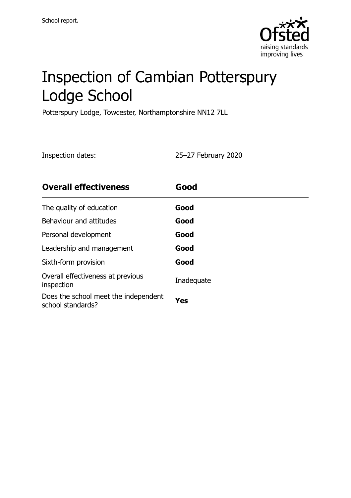

# Inspection of Cambian Potterspury Lodge School

Potterspury Lodge, Towcester, Northamptonshire NN12 7LL

Inspection dates: 25–27 February 2020

| <b>Overall effectiveness</b>                              | Good       |
|-----------------------------------------------------------|------------|
| The quality of education                                  | Good       |
| Behaviour and attitudes                                   | Good       |
| Personal development                                      | Good       |
| Leadership and management                                 | Good       |
| Sixth-form provision                                      | Good       |
| Overall effectiveness at previous<br>inspection           | Inadequate |
| Does the school meet the independent<br>school standards? | Yes        |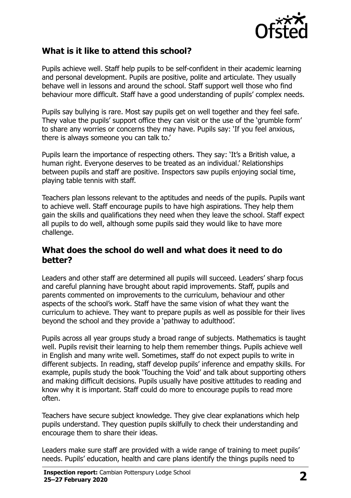

#### **What is it like to attend this school?**

Pupils achieve well. Staff help pupils to be self-confident in their academic learning and personal development. Pupils are positive, polite and articulate. They usually behave well in lessons and around the school. Staff support well those who find behaviour more difficult. Staff have a good understanding of pupils' complex needs.

Pupils say bullying is rare. Most say pupils get on well together and they feel safe. They value the pupils' support office they can visit or the use of the 'grumble form' to share any worries or concerns they may have. Pupils say: 'If you feel anxious, there is always someone you can talk to.'

Pupils learn the importance of respecting others. They say: 'It's a British value, a human right. Everyone deserves to be treated as an individual.' Relationships between pupils and staff are positive. Inspectors saw pupils enjoying social time, playing table tennis with staff.

Teachers plan lessons relevant to the aptitudes and needs of the pupils. Pupils want to achieve well. Staff encourage pupils to have high aspirations. They help them gain the skills and qualifications they need when they leave the school. Staff expect all pupils to do well, although some pupils said they would like to have more challenge.

#### **What does the school do well and what does it need to do better?**

Leaders and other staff are determined all pupils will succeed. Leaders' sharp focus and careful planning have brought about rapid improvements. Staff, pupils and parents commented on improvements to the curriculum, behaviour and other aspects of the school's work. Staff have the same vision of what they want the curriculum to achieve. They want to prepare pupils as well as possible for their lives beyond the school and they provide a 'pathway to adulthood'.

Pupils across all year groups study a broad range of subjects. Mathematics is taught well. Pupils revisit their learning to help them remember things. Pupils achieve well in English and many write well. Sometimes, staff do not expect pupils to write in different subjects. In reading, staff develop pupils' inference and empathy skills. For example, pupils study the book 'Touching the Void' and talk about supporting others and making difficult decisions. Pupils usually have positive attitudes to reading and know why it is important. Staff could do more to encourage pupils to read more often.

Teachers have secure subject knowledge. They give clear explanations which help pupils understand. They question pupils skilfully to check their understanding and encourage them to share their ideas.

Leaders make sure staff are provided with a wide range of training to meet pupils' needs. Pupils' education, health and care plans identify the things pupils need to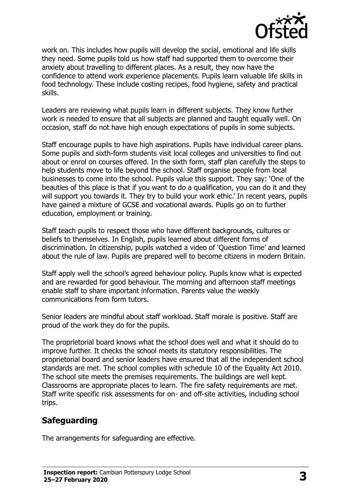

work on. This includes how pupils will develop the social, emotional and life skills they need. Some pupils told us how staff had supported them to overcome their anxiety about travelling to different places. As a result, they now have the confidence to attend work experience placements. Pupils learn valuable life skills in food technology. These include costing recipes, food hygiene, safety and practical skills.

Leaders are reviewing what pupils learn in different subjects. They know further work is needed to ensure that all subjects are planned and taught equally well. On occasion, staff do not have high enough expectations of pupils in some subjects.

Staff encourage pupils to have high aspirations. Pupils have individual career plans. Some pupils and sixth-form students visit local colleges and universities to find out about or enrol on courses offered. In the sixth form, staff plan carefully the steps to help students move to life beyond the school. Staff organise people from local businesses to come into the school. Pupils value this support. They say: 'One of the beauties of this place is that if you want to do a qualification, you can do it and they will support you towards it. They try to build your work ethic.' In recent years, pupils have gained a mixture of GCSE and vocational awards. Pupils go on to further education, employment or training.

Staff teach pupils to respect those who have different backgrounds, cultures or beliefs to themselves. In English, pupils learned about different forms of discrimination. In citizenship, pupils watched a video of 'Question Time' and learned about the rule of law. Pupils are prepared well to become citizens in modern Britain.

Staff apply well the school's agreed behaviour policy. Pupils know what is expected and are rewarded for good behaviour. The morning and afternoon staff meetings enable staff to share important information. Parents value the weekly communications from form tutors.

Senior leaders are mindful about staff workload. Staff morale is positive. Staff are proud of the work they do for the pupils.

The proprietorial board knows what the school does well and what it should do to improve further. It checks the school meets its statutory responsibilities. The proprietorial board and senior leaders have ensured that all the independent school standards are met. The school complies with schedule 10 of the Equality Act 2010. The school site meets the premises requirements. The buildings are well kept. Classrooms are appropriate places to learn. The fire safety requirements are met. Staff write specific risk assessments for on- and off-site activities, including school trips.

## **Safeguarding**

The arrangements for safeguarding are effective.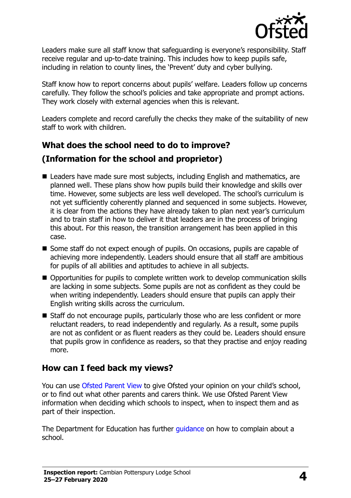

Leaders make sure all staff know that safeguarding is everyone's responsibility. Staff receive regular and up-to-date training. This includes how to keep pupils safe, including in relation to county lines, the 'Prevent' duty and cyber bullying.

Staff know how to report concerns about pupils' welfare. Leaders follow up concerns carefully. They follow the school's policies and take appropriate and prompt actions. They work closely with external agencies when this is relevant.

Leaders complete and record carefully the checks they make of the suitability of new staff to work with children.

# **What does the school need to do to improve? (Information for the school and proprietor)**

- Leaders have made sure most subjects, including English and mathematics, are planned well. These plans show how pupils build their knowledge and skills over time. However, some subjects are less well developed. The school's curriculum is not yet sufficiently coherently planned and sequenced in some subjects. However, it is clear from the actions they have already taken to plan next year's curriculum and to train staff in how to deliver it that leaders are in the process of bringing this about. For this reason, the transition arrangement has been applied in this case.
- Some staff do not expect enough of pupils. On occasions, pupils are capable of achieving more independently. Leaders should ensure that all staff are ambitious for pupils of all abilities and aptitudes to achieve in all subjects.
- Opportunities for pupils to complete written work to develop communication skills are lacking in some subjects. Some pupils are not as confident as they could be when writing independently. Leaders should ensure that pupils can apply their English writing skills across the curriculum.
- Staff do not encourage pupils, particularly those who are less confident or more reluctant readers, to read independently and regularly. As a result, some pupils are not as confident or as fluent readers as they could be. Leaders should ensure that pupils grow in confidence as readers, so that they practise and enjoy reading more.

## **How can I feed back my views?**

You can use [Ofsted Parent View](http://parentview.ofsted.gov.uk/) to give Ofsted your opinion on your child's school, or to find out what other parents and carers think. We use Ofsted Parent View information when deciding which schools to inspect, when to inspect them and as part of their inspection.

The Department for Education has further quidance on how to complain about a school.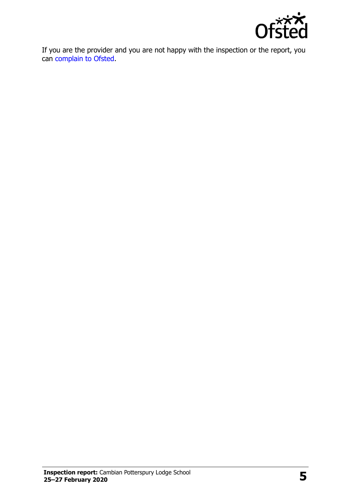

If you are the provider and you are not happy with the inspection or the report, you can [complain to Ofsted.](http://www.gov.uk/complain-ofsted-report)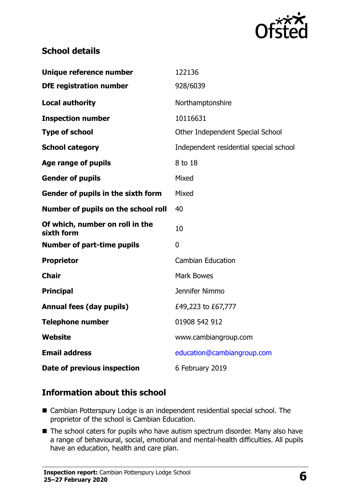

#### **School details**

| Unique reference number                       | 122136                                 |
|-----------------------------------------------|----------------------------------------|
| <b>DfE</b> registration number                | 928/6039                               |
| <b>Local authority</b>                        | Northamptonshire                       |
| <b>Inspection number</b>                      | 10116631                               |
| <b>Type of school</b>                         | Other Independent Special School       |
| <b>School category</b>                        | Independent residential special school |
| <b>Age range of pupils</b>                    | 8 to 18                                |
| <b>Gender of pupils</b>                       | Mixed                                  |
| Gender of pupils in the sixth form            | Mixed                                  |
| Number of pupils on the school roll           | 40                                     |
| Of which, number on roll in the<br>sixth form | 10                                     |
| <b>Number of part-time pupils</b>             | 0                                      |
| <b>Proprietor</b>                             | <b>Cambian Education</b>               |
| <b>Chair</b>                                  | <b>Mark Bowes</b>                      |
| <b>Principal</b>                              | Jennifer Nimmo                         |
| <b>Annual fees (day pupils)</b>               | £49,223 to £67,777                     |
| <b>Telephone number</b>                       | 01908 542 912                          |
| <b>Website</b>                                | www.cambiangroup.com                   |
| <b>Email address</b>                          | education@cambiangroup.com             |
| Date of previous inspection                   | 6 February 2019                        |

#### **Information about this school**

- Cambian Potterspury Lodge is an independent residential special school. The proprietor of the school is Cambian Education.
- The school caters for pupils who have autism spectrum disorder. Many also have a range of behavioural, social, emotional and mental-health difficulties. All pupils have an education, health and care plan.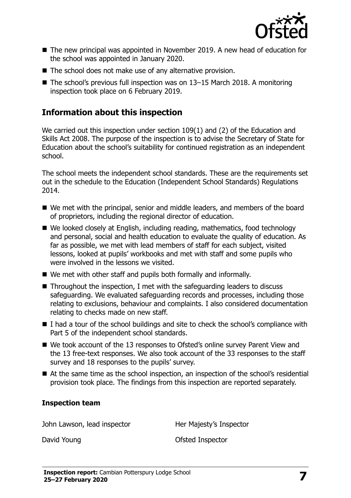

- The new principal was appointed in November 2019. A new head of education for the school was appointed in January 2020.
- The school does not make use of any alternative provision.
- The school's previous full inspection was on 13-15 March 2018. A monitoring inspection took place on 6 February 2019.

#### **Information about this inspection**

We carried out this inspection under section 109(1) and (2) of the Education and Skills Act 2008. The purpose of the inspection is to advise the Secretary of State for Education about the school's suitability for continued registration as an independent school.

The school meets the independent school standards. These are the requirements set out in the schedule to the Education (Independent School Standards) Regulations 2014.

- We met with the principal, senior and middle leaders, and members of the board of proprietors, including the regional director of education.
- We looked closely at English, including reading, mathematics, food technology and personal, social and health education to evaluate the quality of education. As far as possible, we met with lead members of staff for each subject, visited lessons, looked at pupils' workbooks and met with staff and some pupils who were involved in the lessons we visited.
- We met with other staff and pupils both formally and informally.
- $\blacksquare$  Throughout the inspection, I met with the safeguarding leaders to discuss safeguarding. We evaluated safeguarding records and processes, including those relating to exclusions, behaviour and complaints. I also considered documentation relating to checks made on new staff.
- $\blacksquare$  I had a tour of the school buildings and site to check the school's compliance with Part 5 of the independent school standards.
- We took account of the 13 responses to Ofsted's online survey Parent View and the 13 free-text responses. We also took account of the 33 responses to the staff survey and 18 responses to the pupils' survey.
- At the same time as the school inspection, an inspection of the school's residential provision took place. The findings from this inspection are reported separately.

#### **Inspection team**

John Lawson, lead inspector **Her Majesty's Inspector** 

David Young David Young David Young